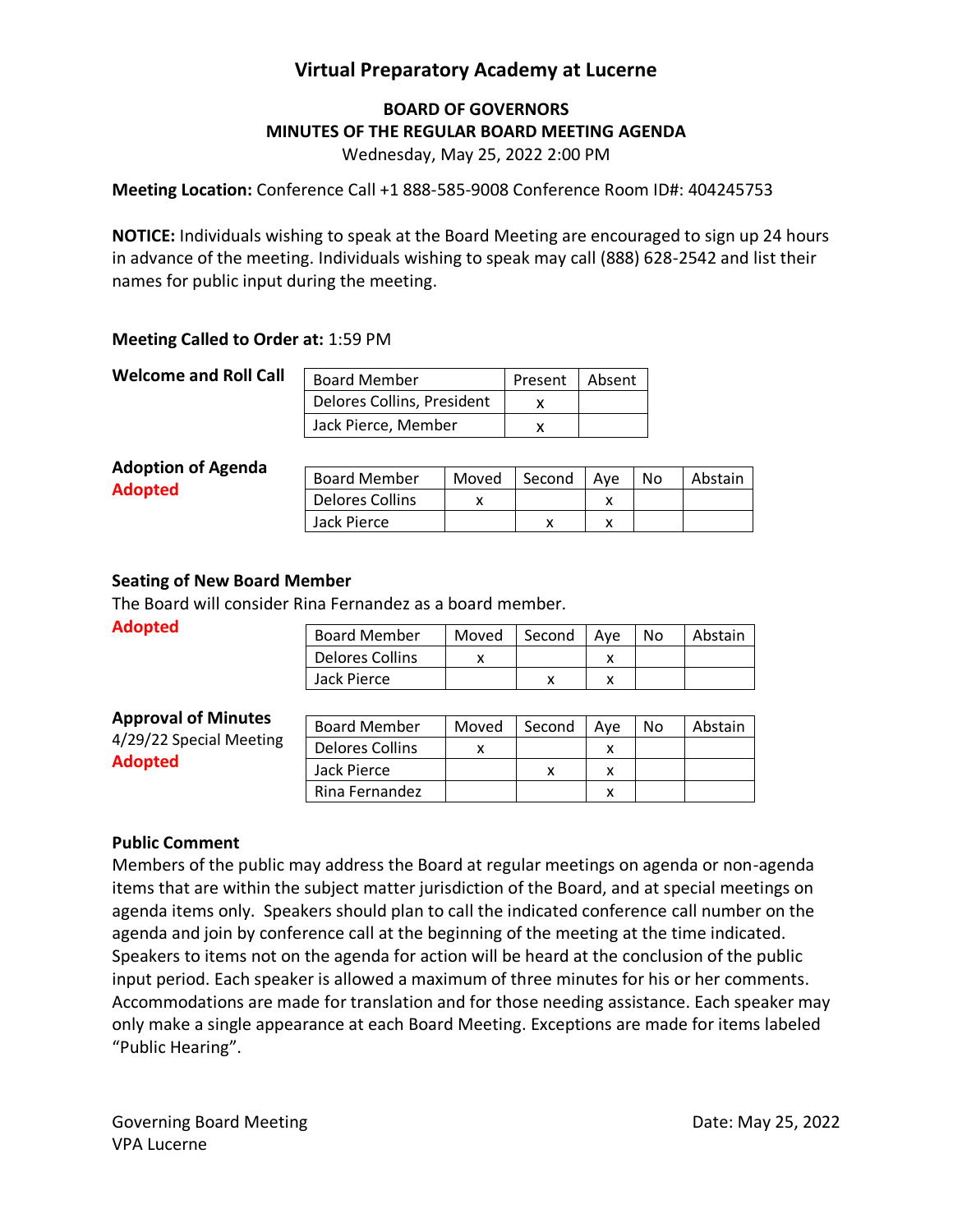# **Virtual Preparatory Academy at Lucerne**

## **BOARD OF GOVERNORS MINUTES OF THE REGULAR BOARD MEETING AGENDA**

Wednesday, May 25, 2022 2:00 PM

**Meeting Location:** Conference Call +1 888-585-9008 Conference Room ID#: 404245753

**NOTICE:** Individuals wishing to speak at the Board Meeting are encouraged to sign up 24 hours in advance of the meeting. Individuals wishing to speak may call (888) 628-2542 and list their names for public input during the meeting.

### **Meeting Called to Order at:** 1:59 PM

### **Welcome and Roll Call**

| <b>Board Member</b>        | Present   Absent |  |
|----------------------------|------------------|--|
| Delores Collins, President |                  |  |
| Jack Pierce, Member        |                  |  |

#### **Adoption of Agenda Adopted**

| <b>Board Member</b> | Moved | l Second | Ave | No | Abstain |
|---------------------|-------|----------|-----|----|---------|
| Delores Collins     |       |          |     |    |         |
| Jack Pierce         |       |          |     |    |         |

### **Seating of New Board Member**

The Board will consider Rina Fernandez as a board member.

**Adopted**

| <b>Board Member</b> | Moved | Second | Ave | No | Abstain |
|---------------------|-------|--------|-----|----|---------|
| Delores Collins     |       |        |     |    |         |
| Jack Pierce         |       |        |     |    |         |

### **Approval of Minutes**

4/29/22 Special Meeting **Adopted**

| <b>Board Member</b> | Moved | Second | Ave | N٥ | Abstain |
|---------------------|-------|--------|-----|----|---------|
| Delores Collins     |       |        |     |    |         |
| Jack Pierce         |       |        |     |    |         |
| Rina Fernandez      |       |        |     |    |         |

### **Public Comment**

Members of the public may address the Board at regular meetings on agenda or non-agenda items that are within the subject matter jurisdiction of the Board, and at special meetings on agenda items only. Speakers should plan to call the indicated conference call number on the agenda and join by conference call at the beginning of the meeting at the time indicated. Speakers to items not on the agenda for action will be heard at the conclusion of the public input period. Each speaker is allowed a maximum of three minutes for his or her comments. Accommodations are made for translation and for those needing assistance. Each speaker may only make a single appearance at each Board Meeting. Exceptions are made for items labeled "Public Hearing".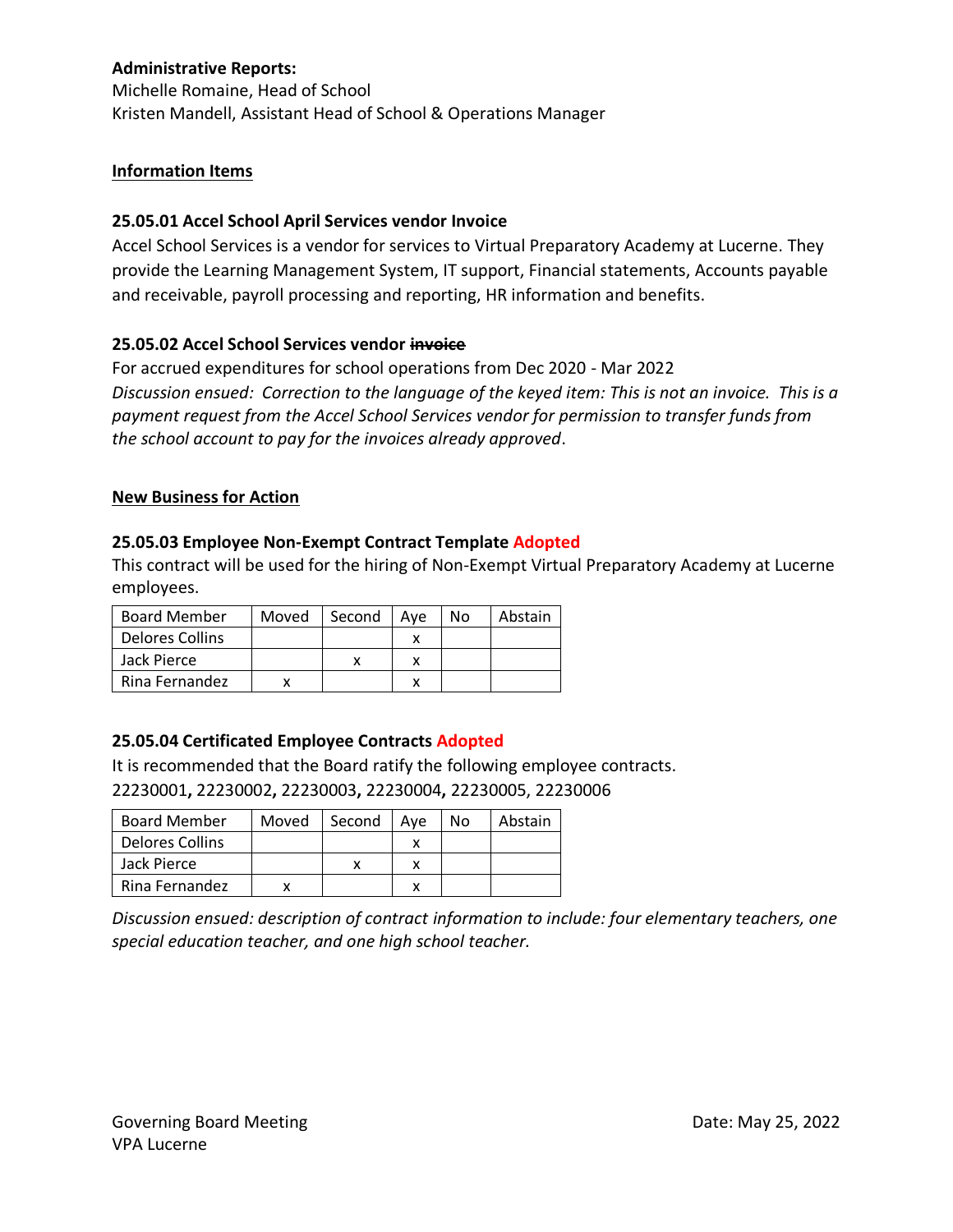## **Administrative Reports:**

Michelle Romaine, Head of School Kristen Mandell, Assistant Head of School & Operations Manager

### **Information Items**

### **25.05.01 Accel School April Services vendor Invoice**

Accel School Services is a vendor for services to Virtual Preparatory Academy at Lucerne. They provide the Learning Management System, IT support, Financial statements, Accounts payable and receivable, payroll processing and reporting, HR information and benefits.

### **25.05.02 Accel School Services vendor invoice**

For accrued expenditures for school operations from Dec 2020 - Mar 2022 *Discussion ensued: Correction to the language of the keyed item: This is not an invoice. This is a payment request from the Accel School Services vendor for permission to transfer funds from the school account to pay for the invoices already approved*.

### **New Business for Action**

### **25.05.03 Employee Non-Exempt Contract Template Adopted**

This contract will be used for the hiring of Non-Exempt Virtual Preparatory Academy at Lucerne employees.

| <b>Board Member</b> | Moved | Second | Ave | Nο | Abstain |
|---------------------|-------|--------|-----|----|---------|
| Delores Collins     |       |        |     |    |         |
| Jack Pierce         |       |        |     |    |         |
| Rina Fernandez      |       |        |     |    |         |

### **25.05.04 Certificated Employee Contracts Adopted**

It is recommended that the Board ratify the following employee contracts. 22230001**,** 22230002**,** 22230003**,** 22230004**,** 22230005, 22230006

| <b>Board Member</b> | Moved | Second | Ave | No. | Abstain |
|---------------------|-------|--------|-----|-----|---------|
| Delores Collins     |       |        |     |     |         |
| Jack Pierce         |       |        |     |     |         |
| Rina Fernandez      |       |        |     |     |         |

*Discussion ensued: description of contract information to include: four elementary teachers, one special education teacher, and one high school teacher.*